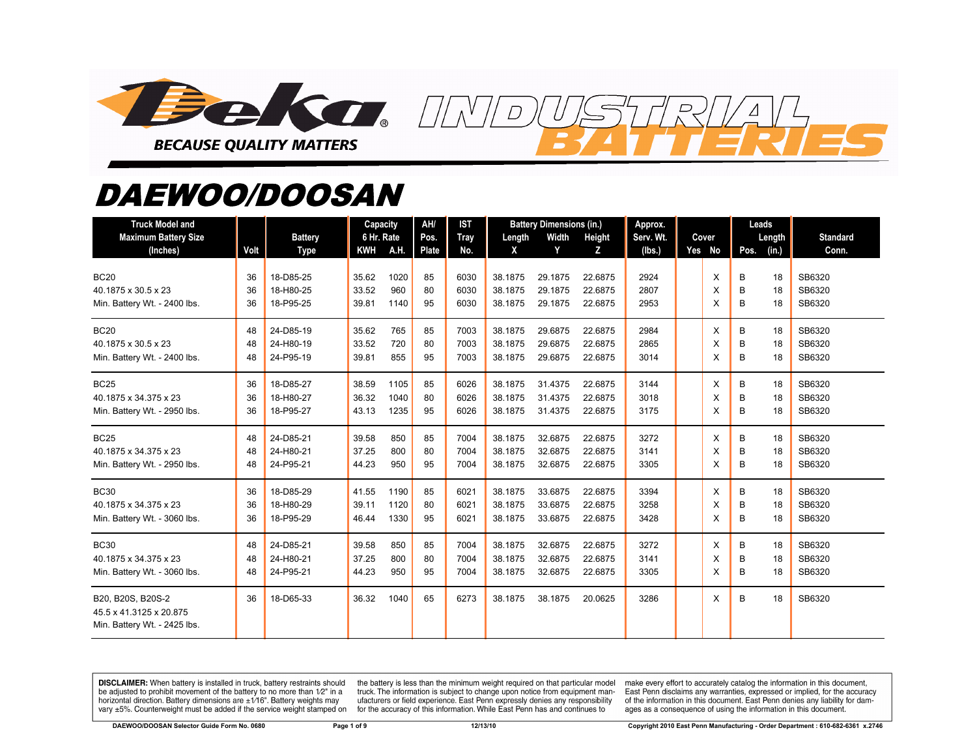

## *DAEWOO/DOOSAN*

| <b>Truck Model and</b><br><b>Maximum Battery Size</b><br>(Inches)            | Volt           | <b>Battery</b><br><b>Type</b>       | Capacity<br>6 Hr. Rate<br><b>KWH</b> | A.H.                 | AH/<br>Pos.<br>Plate | <b>IST</b><br>Tray<br>No. | Length<br>X                   | <b>Battery Dimensions (in.)</b><br>Width<br>Y | Height<br>Z                   | Approx.<br>Serv. Wt.<br>(Ibs.) | Cover<br>Yes No | Leads<br>Length<br>Pos.<br>(in.) | <b>Standard</b><br>Conn.   |
|------------------------------------------------------------------------------|----------------|-------------------------------------|--------------------------------------|----------------------|----------------------|---------------------------|-------------------------------|-----------------------------------------------|-------------------------------|--------------------------------|-----------------|----------------------------------|----------------------------|
| <b>BC20</b><br>40.1875 x 30.5 x 23<br>Min. Battery Wt. - 2400 lbs.           | 36<br>36<br>36 | 18-D85-25<br>18-H80-25<br>18-P95-25 | 35.62<br>33.52<br>39.81              | 1020<br>960<br>1140  | 85<br>80<br>95       | 6030<br>6030<br>6030      | 38.1875<br>38.1875<br>38.1875 | 29.1875<br>29.1875<br>29.1875                 | 22.6875<br>22.6875<br>22.6875 | 2924<br>2807<br>2953           | X<br>X<br>X     | 18<br>В<br>B<br>18<br>B<br>18    | SB6320<br>SB6320<br>SB6320 |
| <b>BC20</b><br>40.1875 x 30.5 x 23<br>Min. Battery Wt. - 2400 lbs.           | 48<br>48<br>48 | 24-D85-19<br>24-H80-19<br>24-P95-19 | 35.62<br>33.52<br>39.81              | 765<br>720<br>855    | 85<br>80<br>95       | 7003<br>7003<br>7003      | 38.1875<br>38.1875<br>38.1875 | 29.6875<br>29.6875<br>29.6875                 | 22.6875<br>22.6875<br>22.6875 | 2984<br>2865<br>3014           | X<br>X<br>X     | B<br>18<br>B<br>18<br>B<br>18    | SB6320<br>SB6320<br>SB6320 |
| <b>BC25</b><br>40.1875 x 34.375 x 23<br>Min. Battery Wt. - 2950 lbs.         | 36<br>36<br>36 | 18-D85-27<br>18-H80-27<br>18-P95-27 | 38.59<br>36.32<br>43.13              | 1105<br>1040<br>1235 | 85<br>80<br>95       | 6026<br>6026<br>6026      | 38.1875<br>38.1875<br>38.1875 | 31.4375<br>31.4375<br>31.4375                 | 22.6875<br>22.6875<br>22.6875 | 3144<br>3018<br>3175           | X<br>X<br>X     | B<br>18<br>B<br>18<br>18<br>в    | SB6320<br>SB6320<br>SB6320 |
| <b>BC25</b><br>40.1875 x 34.375 x 23<br>Min. Battery Wt. - 2950 lbs.         | 48<br>48<br>48 | 24-D85-21<br>24-H80-21<br>24-P95-21 | 39.58<br>37.25<br>44.23              | 850<br>800<br>950    | 85<br>80<br>95       | 7004<br>7004<br>7004      | 38.1875<br>38.1875<br>38.1875 | 32.6875<br>32.6875<br>32.6875                 | 22.6875<br>22.6875<br>22.6875 | 3272<br>3141<br>3305           | Х<br>X<br>X     | в<br>18<br>B<br>18<br>B<br>18    | SB6320<br>SB6320<br>SB6320 |
| <b>BC30</b><br>40.1875 x 34.375 x 23<br>Min. Battery Wt. - 3060 lbs.         | 36<br>36<br>36 | 18-D85-29<br>18-H80-29<br>18-P95-29 | 41.55<br>39.11<br>46.44              | 1190<br>1120<br>1330 | 85<br>80<br>95       | 6021<br>6021<br>6021      | 38.1875<br>38.1875<br>38.1875 | 33.6875<br>33.6875<br>33.6875                 | 22.6875<br>22.6875<br>22.6875 | 3394<br>3258<br>3428           | X<br>X<br>X     | 18<br>В<br>B<br>18<br>B<br>18    | SB6320<br>SB6320<br>SB6320 |
| <b>BC30</b><br>40.1875 x 34.375 x 23<br>Min. Battery Wt. - 3060 lbs.         | 48<br>48<br>48 | 24-D85-21<br>24-H80-21<br>24-P95-21 | 39.58<br>37.25<br>44.23              | 850<br>800<br>950    | 85<br>80<br>95       | 7004<br>7004<br>7004      | 38.1875<br>38.1875<br>38.1875 | 32.6875<br>32.6875<br>32.6875                 | 22.6875<br>22.6875<br>22.6875 | 3272<br>3141<br>3305           | X<br>X<br>X     | в<br>18<br>B<br>18<br>18<br>В    | SB6320<br>SB6320<br>SB6320 |
| B20, B20S, B20S-2<br>45.5 x 41.3125 x 20.875<br>Min. Battery Wt. - 2425 lbs. | 36             | 18-D65-33                           | 36.32                                | 1040                 | 65                   | 6273                      | 38.1875                       | 38.1875                                       | 20.0625                       | 3286                           | X               | B<br>18                          | SB6320                     |

DISCLAIMER: When battery is installed in truck, battery restraints should be adjusted to prohibit movement of the battery to no more than 1/2" in a horizontal direction. Battery dimensions are  $\pm 1/16$ ". Battery weights may vary ±5%. Counterweight must be added if the service weight stamped on

the battery is less than the minimum weight required on that particular model truck. The information is subject to change upon notice from equipment manufacturers or field experience. East Penn expressly denies any responsibility for the accuracy of this information. While East Penn has and continues to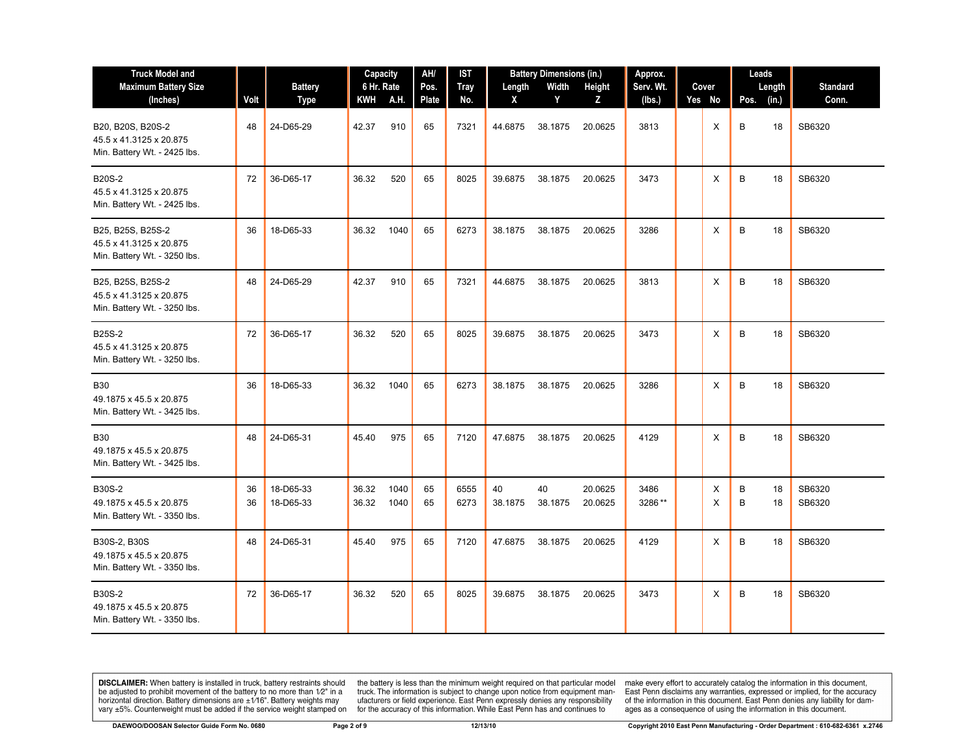| <b>Truck Model and</b>                                                       |          |                        | Capacity       |              | AH/      | IST          | <b>Battery Dimensions (in.)</b> |               | Approx.            |                |  | Leads  |                    |                  |
|------------------------------------------------------------------------------|----------|------------------------|----------------|--------------|----------|--------------|---------------------------------|---------------|--------------------|----------------|--|--------|--------------------|------------------|
| <b>Maximum Battery Size</b>                                                  |          | <b>Battery</b>         | 6 Hr. Rate     |              | Pos.     | <b>Tray</b>  | Length                          | Width         | Height             | Serv. Wt.      |  | Cover  | Length             | <b>Standard</b>  |
| (Inches)                                                                     | Volt     | <b>Type</b>            | KWH            | A.H.         | Plate    | No.          | X                               | Y             | Z                  | (lbs.)         |  | Yes No | (in.)<br>Pos.      | Conn.            |
| B20, B20S, B20S-2<br>45.5 x 41.3125 x 20.875<br>Min. Battery Wt. - 2425 lbs. | 48       | 24-D65-29              | 42.37          | 910          | 65       | 7321         | 44.6875                         | 38.1875       | 20.0625            | 3813           |  | X      | B<br>18            | SB6320           |
| <b>B20S-2</b><br>45.5 x 41.3125 x 20.875<br>Min. Battery Wt. - 2425 lbs.     | 72       | 36-D65-17              | 36.32          | 520          | 65       | 8025         | 39.6875                         | 38.1875       | 20.0625            | 3473           |  | X      | B<br>18            | SB6320           |
| B25, B25S, B25S-2<br>45.5 x 41.3125 x 20.875<br>Min. Battery Wt. - 3250 lbs. | 36       | 18-D65-33              | 36.32          | 1040         | 65       | 6273         | 38.1875                         | 38.1875       | 20.0625            | 3286           |  | Χ      | В<br>18            | SB6320           |
| B25, B25S, B25S-2<br>45.5 x 41.3125 x 20.875<br>Min. Battery Wt. - 3250 lbs. | 48       | 24-D65-29              | 42.37          | 910          | 65       | 7321         | 44.6875                         | 38.1875       | 20.0625            | 3813           |  | Χ      | B<br>18            | SB6320           |
| <b>B25S-2</b><br>45.5 x 41.3125 x 20.875<br>Min. Battery Wt. - 3250 lbs.     | 72       | 36-D65-17              | 36.32          | 520          | 65       | 8025         | 39.6875                         | 38.1875       | 20.0625            | 3473           |  | X      | B<br>18            | SB6320           |
| <b>B30</b><br>49.1875 x 45.5 x 20.875<br>Min. Battery Wt. - 3425 lbs.        | 36       | 18-D65-33              | 36.32          | 1040         | 65       | 6273         | 38.1875                         | 38.1875       | 20.0625            | 3286           |  | Χ      | B<br>18            | SB6320           |
| <b>B30</b><br>49.1875 x 45.5 x 20.875<br>Min. Battery Wt. - 3425 lbs.        | 48       | 24-D65-31              | 45.40          | 975          | 65       | 7120         | 47.6875                         | 38.1875       | 20.0625            | 4129           |  | X      | B<br>18            | SB6320           |
| <b>B30S-2</b><br>49.1875 x 45.5 x 20.875<br>Min. Battery Wt. - 3350 lbs.     | 36<br>36 | 18-D65-33<br>18-D65-33 | 36.32<br>36.32 | 1040<br>1040 | 65<br>65 | 6555<br>6273 | 40<br>38.1875                   | 40<br>38.1875 | 20.0625<br>20.0625 | 3486<br>3286** |  | X<br>X | B<br>18<br>B<br>18 | SB6320<br>SB6320 |
| B30S-2, B30S<br>49.1875 x 45.5 x 20.875<br>Min. Battery Wt. - 3350 lbs.      | 48       | 24-D65-31              | 45.40          | 975          | 65       | 7120         | 47.6875                         | 38.1875       | 20.0625            | 4129           |  | Χ      | В<br>18            | SB6320           |
| <b>B30S-2</b><br>49.1875 x 45.5 x 20.875<br>Min. Battery Wt. - 3350 lbs.     | 72       | 36-D65-17              | 36.32          | 520          | 65       | 8025         | 39.6875                         | 38.1875       | 20.0625            | 3473           |  | X      | B<br>18            | SB6320           |

the battery is less than the minimum weight required on that particular model<br>truck. The information is subject to change upon notice from equipment man-<br>ufacturers or field experience. East Penn expressly denies any respo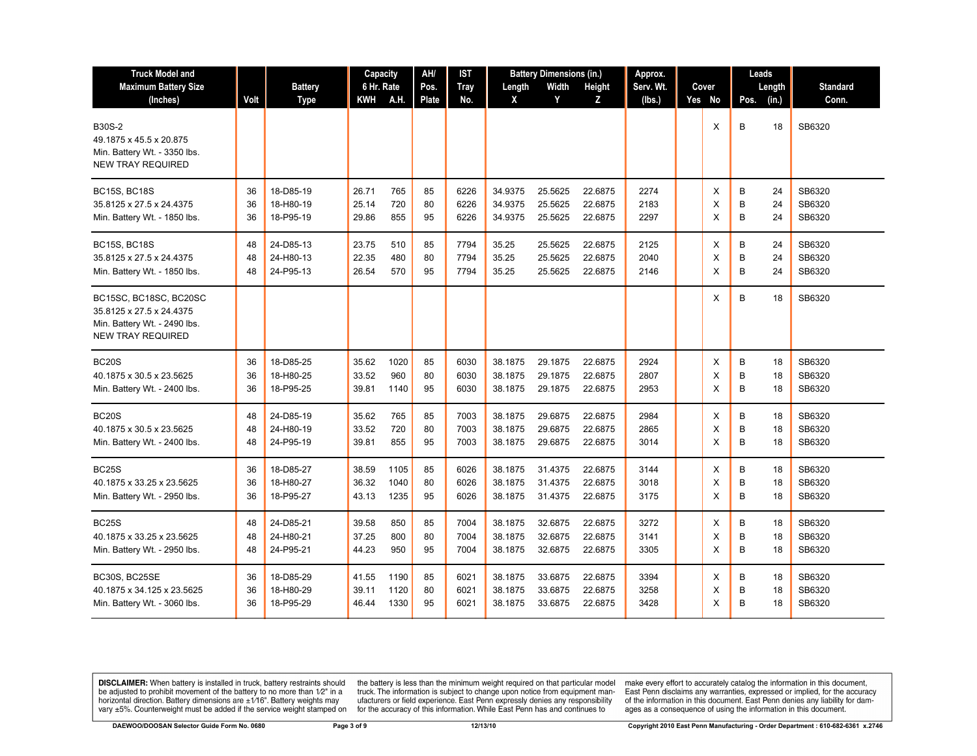| <b>Truck Model and</b>                                                                                         |      |                | Capacity   |      | AH/          | IST         |         | <b>Battery Dimensions (in.)</b> |         | Approx.   |  |        | Leads  |       |                 |
|----------------------------------------------------------------------------------------------------------------|------|----------------|------------|------|--------------|-------------|---------|---------------------------------|---------|-----------|--|--------|--------|-------|-----------------|
| <b>Maximum Battery Size</b>                                                                                    |      | <b>Battery</b> | 6 Hr. Rate |      | Pos.         | <b>Tray</b> | Length  | Width                           | Height  | Serv. Wt. |  | Cover  | Length |       | <b>Standard</b> |
| (Inches)                                                                                                       | Volt | <b>Type</b>    | KWH        | A.H. | <b>Plate</b> | No.         | X       | Y                               | z       | (lbs.)    |  | Yes No | Pos.   | (in.) | Conn.           |
| B30S-2<br>49.1875 x 45.5 x 20.875<br>Min. Battery Wt. - 3350 lbs.<br><b>NEW TRAY REQUIRED</b>                  |      |                |            |      |              |             |         |                                 |         |           |  | X      | B      | 18    | SB6320          |
| <b>BC15S, BC18S</b>                                                                                            | 36   | 18-D85-19      | 26.71      | 765  | 85           | 6226        | 34.9375 | 25.5625                         | 22.6875 | 2274      |  | X      | В      | 24    | SB6320          |
| 35.8125 x 27.5 x 24.4375                                                                                       | 36   | 18-H80-19      | 25.14      | 720  | 80           | 6226        | 34.9375 | 25.5625                         | 22.6875 | 2183      |  | X      | B      | 24    | SB6320          |
| Min. Battery Wt. - 1850 lbs.                                                                                   | 36   | 18-P95-19      | 29.86      | 855  | 95           | 6226        | 34.9375 | 25.5625                         | 22.6875 | 2297      |  | X      | B      | 24    | SB6320          |
| <b>BC15S, BC18S</b>                                                                                            | 48   | 24-D85-13      | 23.75      | 510  | 85           | 7794        | 35.25   | 25.5625                         | 22.6875 | 2125      |  | X      | В      | 24    | SB6320          |
| 35.8125 x 27.5 x 24.4375                                                                                       | 48   | 24-H80-13      | 22.35      | 480  | 80           | 7794        | 35.25   | 25.5625                         | 22.6875 | 2040      |  | X      | B      | 24    | SB6320          |
| Min. Battery Wt. - 1850 lbs.                                                                                   | 48   | 24-P95-13      | 26.54      | 570  | 95           | 7794        | 35.25   | 25.5625                         | 22.6875 | 2146      |  | X      | B      | 24    | SB6320          |
| BC15SC, BC18SC, BC20SC<br>35.8125 x 27.5 x 24.4375<br>Min. Battery Wt. - 2490 lbs.<br><b>NEW TRAY REQUIRED</b> |      |                |            |      |              |             |         |                                 |         |           |  | X      | B      | 18    | SB6320          |
| <b>BC20S</b>                                                                                                   | 36   | 18-D85-25      | 35.62      | 1020 | 85           | 6030        | 38.1875 | 29.1875                         | 22.6875 | 2924      |  | Х      | В      | 18    | SB6320          |
| 40.1875 x 30.5 x 23.5625                                                                                       | 36   | 18-H80-25      | 33.52      | 960  | 80           | 6030        | 38.1875 | 29.1875                         | 22.6875 | 2807      |  | X      | B      | 18    | SB6320          |
| Min. Battery Wt. - 2400 lbs.                                                                                   | 36   | 18-P95-25      | 39.81      | 1140 | 95           | 6030        | 38.1875 | 29.1875                         | 22.6875 | 2953      |  | X      | B      | 18    | SB6320          |
| <b>BC20S</b>                                                                                                   | 48   | 24-D85-19      | 35.62      | 765  | 85           | 7003        | 38.1875 | 29.6875                         | 22.6875 | 2984      |  | Х      | B      | 18    | SB6320          |
| 40.1875 x 30.5 x 23.5625                                                                                       | 48   | 24-H80-19      | 33.52      | 720  | 80           | 7003        | 38.1875 | 29.6875                         | 22.6875 | 2865      |  | X      | B      | 18    | SB6320          |
| Min. Battery Wt. - 2400 lbs.                                                                                   | 48   | 24-P95-19      | 39.81      | 855  | 95           | 7003        | 38.1875 | 29.6875                         | 22.6875 | 3014      |  | X      | B      | 18    | SB6320          |
| <b>BC25S</b>                                                                                                   | 36   | 18-D85-27      | 38.59      | 1105 | 85           | 6026        | 38.1875 | 31.4375                         | 22.6875 | 3144      |  | X      | B      | 18    | SB6320          |
| 40.1875 x 33.25 x 23.5625                                                                                      | 36   | 18-H80-27      | 36.32      | 1040 | 80           | 6026        | 38.1875 | 31.4375                         | 22.6875 | 3018      |  | X      | B      | 18    | SB6320          |
| Min. Battery Wt. - 2950 lbs.                                                                                   | 36   | 18-P95-27      | 43.13      | 1235 | 95           | 6026        | 38.1875 | 31.4375                         | 22.6875 | 3175      |  | X      | B      | 18    | SB6320          |
| <b>BC25S</b>                                                                                                   | 48   | 24-D85-21      | 39.58      | 850  | 85           | 7004        | 38.1875 | 32.6875                         | 22.6875 | 3272      |  | X      | B      | 18    | SB6320          |
| 40.1875 x 33.25 x 23.5625                                                                                      | 48   | 24-H80-21      | 37.25      | 800  | 80           | 7004        | 38.1875 | 32.6875                         | 22.6875 | 3141      |  | X      | B      | 18    | SB6320          |
| Min. Battery Wt. - 2950 lbs.                                                                                   | 48   | 24-P95-21      | 44.23      | 950  | 95           | 7004        | 38.1875 | 32.6875                         | 22.6875 | 3305      |  | X      | B      | 18    | SB6320          |
| BC30S, BC25SE                                                                                                  | 36   | 18-D85-29      | 41.55      | 1190 | 85           | 6021        | 38.1875 | 33.6875                         | 22.6875 | 3394      |  | Х      | В      | 18    | SB6320          |
| 40.1875 x 34.125 x 23.5625                                                                                     | 36   | 18-H80-29      | 39.11      | 1120 | 80           | 6021        | 38.1875 | 33.6875                         | 22.6875 | 3258      |  | X      | B      | 18    | SB6320          |
| Min. Battery Wt. - 3060 lbs.                                                                                   | 36   | 18-P95-29      | 46.44      | 1330 | 95           | 6021        | 38.1875 | 33.6875                         | 22.6875 | 3428      |  | X      | B      | 18    | SB6320          |

the battery is less than the minimum weight required on that particular model<br>truck. The information is subject to change upon notice from equipment man-<br>ufacturers or field experience. East Penn expressly denies any respo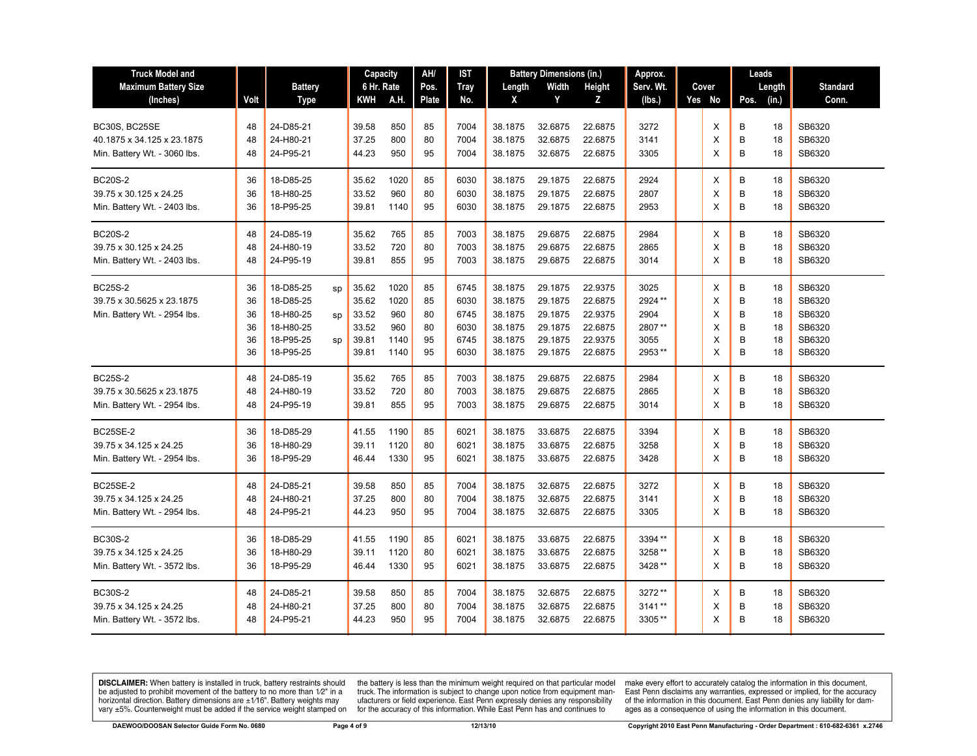| <b>Truck Model and</b>                                                      |                                  |                                                                            |                | Capacity                                           |                                            | AH/                              | IST                                          | <b>Battery Dimensions (in.)</b>                                |                                                                | Approx.                                                        |                                                     |  | Leads                      |                            |                                  |                                                          |
|-----------------------------------------------------------------------------|----------------------------------|----------------------------------------------------------------------------|----------------|----------------------------------------------------|--------------------------------------------|----------------------------------|----------------------------------------------|----------------------------------------------------------------|----------------------------------------------------------------|----------------------------------------------------------------|-----------------------------------------------------|--|----------------------------|----------------------------|----------------------------------|----------------------------------------------------------|
| <b>Maximum Battery Size</b>                                                 |                                  | <b>Battery</b>                                                             |                | 6 Hr. Rate                                         |                                            | Pos.                             | <b>Tray</b>                                  | Length                                                         | Width                                                          | Height                                                         | Serv. Wt.                                           |  | Cover                      |                            | Length                           | <b>Standard</b>                                          |
| (Inches)                                                                    | Volt                             | Type                                                                       |                | KWH                                                | A.H.                                       | Plate                            | No.                                          | X                                                              | Y                                                              | z                                                              | (lbs.)                                              |  | Yes No                     | Pos.                       | (in.)                            | Conn.                                                    |
| BC30S, BC25SE<br>40.1875 x 34.125 x 23.1875<br>Min. Battery Wt. - 3060 lbs. | 48<br>48<br>48                   | 24-D85-21<br>24-H80-21<br>24-P95-21                                        |                | 39.58<br>37.25<br>44.23                            | 850<br>800<br>950                          | 85<br>80<br>95                   | 7004<br>7004<br>7004                         | 38.1875<br>38.1875<br>38.1875                                  | 32.6875<br>32.6875<br>32.6875                                  | 22.6875<br>22.6875<br>22.6875                                  | 3272<br>3141<br>3305                                |  | Х<br>X<br>X                | В<br>B<br>B                | 18<br>18<br>18                   | SB6320<br>SB6320<br>SB6320                               |
| <b>BC20S-2</b><br>39.75 x 30.125 x 24.25<br>Min. Battery Wt. - 2403 lbs.    | 36<br>36<br>36                   | 18-D85-25<br>18-H80-25<br>18-P95-25                                        |                | 35.62<br>33.52<br>39.81                            | 1020<br>960<br>1140                        | 85<br>80<br>95                   | 6030<br>6030<br>6030                         | 38.1875<br>38.1875<br>38.1875                                  | 29.1875<br>29.1875<br>29.1875                                  | 22.6875<br>22.6875<br>22.6875                                  | 2924<br>2807<br>2953                                |  | X<br>X<br>X                | B<br>B<br>B                | 18<br>18<br>18                   | SB6320<br>SB6320<br>SB6320                               |
| <b>BC20S-2</b><br>39.75 x 30.125 x 24.25<br>Min. Battery Wt. - 2403 lbs.    | 48<br>48<br>48                   | 24-D85-19<br>24-H80-19<br>24-P95-19                                        |                | 35.62<br>33.52<br>39.81                            | 765<br>720<br>855                          | 85<br>80<br>95                   | 7003<br>7003<br>7003                         | 38.1875<br>38.1875<br>38.1875                                  | 29.6875<br>29.6875<br>29.6875                                  | 22.6875<br>22.6875<br>22.6875                                  | 2984<br>2865<br>3014                                |  | Х<br>X<br>X                | B<br>B<br>B                | 18<br>18<br>18                   | SB6320<br>SB6320<br>SB6320                               |
| <b>BC25S-2</b><br>39.75 x 30.5625 x 23.1875<br>Min. Battery Wt. - 2954 lbs. | 36<br>36<br>36<br>36<br>36<br>36 | 18-D85-25<br>18-D85-25<br>18-H80-25<br>18-H80-25<br>18-P95-25<br>18-P95-25 | sp<br>SD<br>sp | 35.62<br>35.62<br>33.52<br>33.52<br>39.81<br>39.81 | 1020<br>1020<br>960<br>960<br>1140<br>1140 | 85<br>85<br>80<br>80<br>95<br>95 | 6745<br>6030<br>6745<br>6030<br>6745<br>6030 | 38.1875<br>38.1875<br>38.1875<br>38.1875<br>38.1875<br>38.1875 | 29.1875<br>29.1875<br>29.1875<br>29.1875<br>29.1875<br>29.1875 | 22.9375<br>22.6875<br>22.9375<br>22.6875<br>22.9375<br>22.6875 | 3025<br>2924 **<br>2904<br>2807**<br>3055<br>2953** |  | X<br>Χ<br>X<br>X<br>X<br>X | B<br>B<br>B<br>B<br>B<br>B | 18<br>18<br>18<br>18<br>18<br>18 | SB6320<br>SB6320<br>SB6320<br>SB6320<br>SB6320<br>SB6320 |
| <b>BC25S-2</b><br>39.75 x 30.5625 x 23.1875<br>Min. Battery Wt. - 2954 lbs. | 48<br>48<br>48                   | 24-D85-19<br>24-H80-19<br>24-P95-19                                        |                | 35.62<br>33.52<br>39.81                            | 765<br>720<br>855                          | 85<br>80<br>95                   | 7003<br>7003<br>7003                         | 38.1875<br>38.1875<br>38.1875                                  | 29.6875<br>29.6875<br>29.6875                                  | 22.6875<br>22.6875<br>22.6875                                  | 2984<br>2865<br>3014                                |  | X<br>Х<br>X                | B<br>B<br>B                | 18<br>18<br>18                   | SB6320<br>SB6320<br>SB6320                               |
| <b>BC25SE-2</b><br>39.75 x 34.125 x 24.25<br>Min. Battery Wt. - 2954 lbs.   | 36<br>36<br>36                   | 18-D85-29<br>18-H80-29<br>18-P95-29                                        |                | 41.55<br>39.11<br>46.44                            | 1190<br>1120<br>1330                       | 85<br>80<br>95                   | 6021<br>6021<br>6021                         | 38.1875<br>38.1875<br>38.1875                                  | 33.6875<br>33.6875<br>33.6875                                  | 22.6875<br>22.6875<br>22.6875                                  | 3394<br>3258<br>3428                                |  | Х<br>X<br>X                | B<br>B<br>B                | 18<br>18<br>18                   | SB6320<br>SB6320<br>SB6320                               |
| <b>BC25SE-2</b><br>39.75 x 34.125 x 24.25<br>Min. Battery Wt. - 2954 lbs.   | 48<br>48<br>48                   | 24-D85-21<br>24-H80-21<br>24-P95-21                                        |                | 39.58<br>37.25<br>44.23                            | 850<br>800<br>950                          | 85<br>80<br>95                   | 7004<br>7004<br>7004                         | 38.1875<br>38.1875<br>38.1875                                  | 32.6875<br>32.6875<br>32.6875                                  | 22.6875<br>22.6875<br>22.6875                                  | 3272<br>3141<br>3305                                |  | X<br>X<br>X                | B<br>B<br>B                | 18<br>18<br>18                   | SB6320<br>SB6320<br>SB6320                               |
| <b>BC30S-2</b><br>39.75 x 34.125 x 24.25<br>Min. Battery Wt. - 3572 lbs.    | 36<br>36<br>36                   | 18-D85-29<br>18-H80-29<br>18-P95-29                                        |                | 41.55<br>39.11<br>46.44                            | 1190<br>1120<br>1330                       | 85<br>80<br>95                   | 6021<br>6021<br>6021                         | 38.1875<br>38.1875<br>38.1875                                  | 33.6875<br>33.6875<br>33.6875                                  | 22.6875<br>22.6875<br>22.6875                                  | 3394**<br>3258 **<br>3428 **                        |  | Х<br>Х<br>X                | B<br>B<br>B                | 18<br>18<br>18                   | SB6320<br>SB6320<br>SB6320                               |
| <b>BC30S-2</b><br>39.75 x 34.125 x 24.25<br>Min. Battery Wt. - 3572 lbs.    | 48<br>48<br>48                   | 24-D85-21<br>24-H80-21<br>24-P95-21                                        |                | 39.58<br>37.25<br>44.23                            | 850<br>800<br>950                          | 85<br>80<br>95                   | 7004<br>7004<br>7004                         | 38.1875<br>38.1875<br>38.1875                                  | 32.6875<br>32.6875<br>32.6875                                  | 22.6875<br>22.6875<br>22.6875                                  | 3272**<br>3141**<br>3305**                          |  | X<br>X<br>X                | B<br>B<br>B                | 18<br>18<br>18                   | SB6320<br>SB6320<br>SB6320                               |

the battery is less than the minimum weight required on that particular model<br>truck. The information is subject to change upon notice from equipment man-<br>ufacturers or field experience. East Penn expressly denies any respo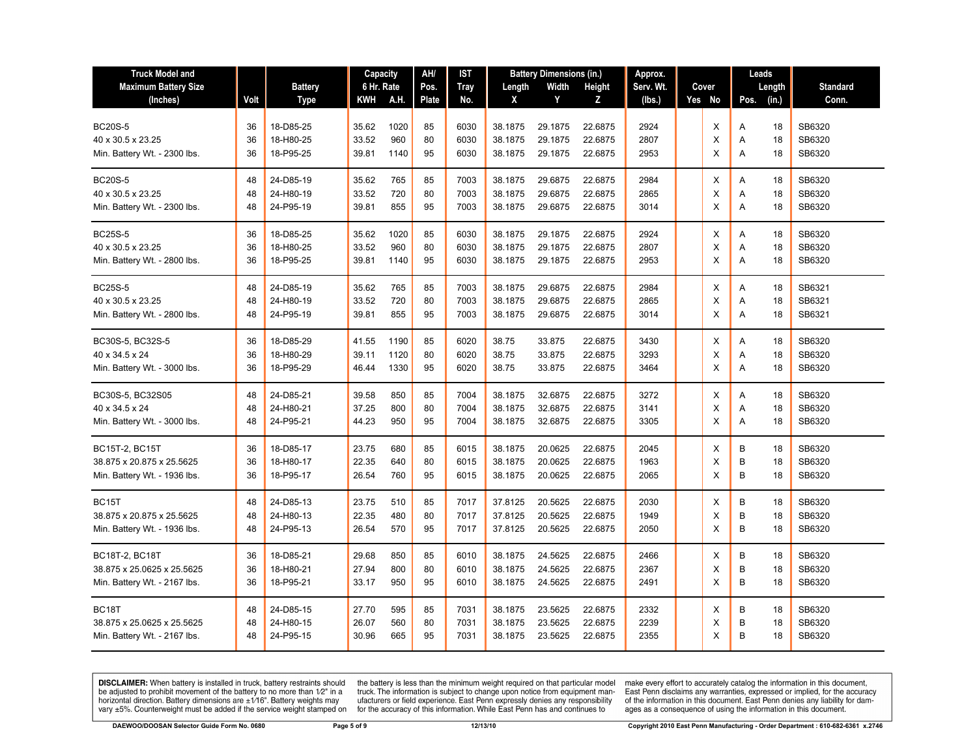| <b>Truck Model and</b>       |      |                | Capacity   |            | AH/      | IST  |         | <b>Battery Dimensions (in.)</b> |         | Approx.   |  |        | Leads         |                 |
|------------------------------|------|----------------|------------|------------|----------|------|---------|---------------------------------|---------|-----------|--|--------|---------------|-----------------|
| <b>Maximum Battery Size</b>  |      | <b>Battery</b> | 6 Hr. Rate |            | Pos.     | Tray | Length  | Width                           | Height  | Serv. Wt. |  | Cover  | Length        | <b>Standard</b> |
| (Inches)                     | Volt | <b>Type</b>    | KWH        | A.H.       | Plate    | No.  | X       | Y                               | Z       | (lbs.)    |  | Yes No | (in.)<br>Pos. | Conn.           |
|                              |      |                |            |            |          |      |         |                                 |         |           |  |        |               |                 |
| <b>BC20S-5</b>               | 36   | 18-D85-25      | 35.62      | 1020       | 85       | 6030 | 38.1875 | 29.1875                         | 22.6875 | 2924      |  | X      | 18<br>Α       | SB6320          |
| 40 x 30.5 x 23.25            | 36   | 18-H80-25      | 33.52      | 960        | 80       | 6030 | 38.1875 | 29.1875                         | 22.6875 | 2807      |  | Х      | 18<br>Α       | SB6320          |
| Min. Battery Wt. - 2300 lbs. | 36   | 18-P95-25      | 39.81      | 1140       | 95       | 6030 | 38.1875 | 29.1875                         | 22.6875 | 2953      |  | X      | A<br>18       | SB6320          |
| <b>BC20S-5</b>               | 48   | 24-D85-19      | 35.62      | 765        | 85       | 7003 | 38.1875 | 29.6875                         | 22.6875 | 2984      |  | Х      | 18<br>Α       | SB6320          |
| 40 x 30.5 x 23.25            | 48   | 24-H80-19      | 33.52      | 720        | 80       | 7003 | 38.1875 | 29.6875                         | 22.6875 | 2865      |  | X      | 18<br>A       | SB6320          |
| Min. Battery Wt. - 2300 lbs. | 48   | 24-P95-19      | 39.81      | 855        | 95       | 7003 | 38.1875 | 29.6875                         | 22.6875 | 3014      |  | X      | Α<br>18       | SB6320          |
|                              |      |                |            |            |          |      |         |                                 |         |           |  |        |               |                 |
| <b>BC25S-5</b>               | 36   | 18-D85-25      | 35.62      | 1020       | 85       | 6030 | 38.1875 | 29.1875                         | 22.6875 | 2924      |  | Χ      | Α<br>18       | SB6320          |
| 40 x 30.5 x 23.25            | 36   | 18-H80-25      | 33.52      | 960        | 80       | 6030 | 38.1875 | 29.1875                         | 22.6875 | 2807      |  | X      | Α<br>18       | SB6320          |
| Min. Battery Wt. - 2800 lbs. | 36   | 18-P95-25      | 39.81      | 1140       | 95       | 6030 | 38.1875 | 29.1875                         | 22.6875 | 2953      |  | X      | 18<br>A       | SB6320          |
| <b>BC25S-5</b>               | 48   | 24-D85-19      | 35.62      | 765        | 85       | 7003 | 38.1875 | 29.6875                         | 22.6875 | 2984      |  |        | 18            | SB6321          |
| 40 x 30.5 x 23.25            | 48   | 24-H80-19      | 33.52      | 720        | 80       | 7003 | 38.1875 | 29.6875                         | 22.6875 | 2865      |  | Х<br>Χ | Α<br>18<br>Α  | SB6321          |
|                              | 48   | 24-P95-19      | 39.81      | 855        | 95       | 7003 | 38.1875 | 29.6875                         | 22.6875 | 3014      |  | X      | A<br>18       | SB6321          |
| Min. Battery Wt. - 2800 lbs. |      |                |            |            |          |      |         |                                 |         |           |  |        |               |                 |
| BC30S-5, BC32S-5             | 36   | 18-D85-29      | 41.55      | 1190       | 85       | 6020 | 38.75   | 33.875                          | 22.6875 | 3430      |  | х      | A<br>18       | SB6320          |
| 40 x 34.5 x 24               | 36   | 18-H80-29      | 39.11      | 1120       | 80       | 6020 | 38.75   | 33.875                          | 22.6875 | 3293      |  | Χ      | 18<br>Α       | SB6320          |
| Min. Battery Wt. - 3000 lbs. | 36   | 18-P95-29      | 46.44      | 1330       | 95       | 6020 | 38.75   | 33.875                          | 22.6875 | 3464      |  | X      | Α<br>18       | SB6320          |
| BC30S-5, BC32S05             | 48   | 24-D85-21      | 39.58      | 850        | 85       | 7004 | 38.1875 | 32.6875                         | 22.6875 | 3272      |  | X      | 18<br>A       | SB6320          |
| 40 x 34.5 x 24               | 48   | 24-H80-21      | 37.25      | 800        | 80       | 7004 | 38.1875 | 32.6875                         | 22.6875 | 3141      |  | X      | 18<br>Α       | SB6320          |
|                              | 48   | 24-P95-21      | 44.23      | 950        | 95       | 7004 | 38.1875 | 32.6875                         | 22.6875 | 3305      |  | X      | A<br>18       | SB6320          |
| Min. Battery Wt. - 3000 lbs. |      |                |            |            |          |      |         |                                 |         |           |  |        |               |                 |
| <b>BC15T-2, BC15T</b>        | 36   | 18-D85-17      | 23.75      | 680        | 85       | 6015 | 38.1875 | 20.0625                         | 22.6875 | 2045      |  | х      | В<br>18       | SB6320          |
| 38.875 x 20.875 x 25.5625    | 36   | 18-H80-17      | 22.35      | 640        | 80       | 6015 | 38.1875 | 20.0625                         | 22.6875 | 1963      |  | X      | B<br>18       | SB6320          |
| Min. Battery Wt. - 1936 lbs. | 36   | 18-P95-17      | 26.54      | 760        | 95       | 6015 | 38.1875 | 20.0625                         | 22.6875 | 2065      |  | X      | B<br>18       | SB6320          |
| BC <sub>15</sub> T           | 48   | 24-D85-13      | 23.75      | 510        | 85       | 7017 | 37.8125 | 20.5625                         | 22.6875 | 2030      |  | X      | B             | SB6320          |
|                              | 48   | 24-H80-13      | 22.35      |            |          | 7017 | 37.8125 | 20.5625                         | 22.6875 | 1949      |  |        | 18<br>B       | SB6320          |
| 38.875 x 20.875 x 25.5625    | 48   |                |            | 480<br>570 | 80<br>95 |      |         |                                 |         |           |  | X<br>X | 18<br>B<br>18 |                 |
| Min. Battery Wt. - 1936 lbs. |      | 24-P95-13      | 26.54      |            |          | 7017 | 37.8125 | 20.5625                         | 22.6875 | 2050      |  |        |               | SB6320          |
| <b>BC18T-2, BC18T</b>        | 36   | 18-D85-21      | 29.68      | 850        | 85       | 6010 | 38.1875 | 24.5625                         | 22.6875 | 2466      |  | X      | B<br>18       | SB6320          |
| 38.875 x 25.0625 x 25.5625   | 36   | 18-H80-21      | 27.94      | 800        | 80       | 6010 | 38.1875 | 24.5625                         | 22.6875 | 2367      |  | Х      | B<br>18       | SB6320          |
| Min. Battery Wt. - 2167 lbs. | 36   | 18-P95-21      | 33.17      | 950        | 95       | 6010 | 38.1875 | 24.5625                         | 22.6875 | 2491      |  | X      | B<br>18       | SB6320          |
|                              |      |                |            |            |          |      |         |                                 |         |           |  |        |               |                 |
| BC18T                        | 48   | 24-D85-15      | 27.70      | 595        | 85       | 7031 | 38.1875 | 23.5625                         | 22.6875 | 2332      |  | Х      | B<br>18       | SB6320          |
| 38.875 x 25.0625 x 25.5625   | 48   | 24-H80-15      | 26.07      | 560        | 80       | 7031 | 38.1875 | 23.5625                         | 22.6875 | 2239      |  | X      | B<br>18       | SB6320          |
| Min. Battery Wt. - 2167 lbs. | 48   | 24-P95-15      | 30.96      | 665        | 95       | 7031 | 38.1875 | 23.5625                         | 22.6875 | 2355      |  | X      | B<br>18       | SB6320          |

the battery is less than the minimum weight required on that particular model<br>truck. The information is subject to change upon notice from equipment man-<br>ufacturers or field experience. East Penn expressly denies any respo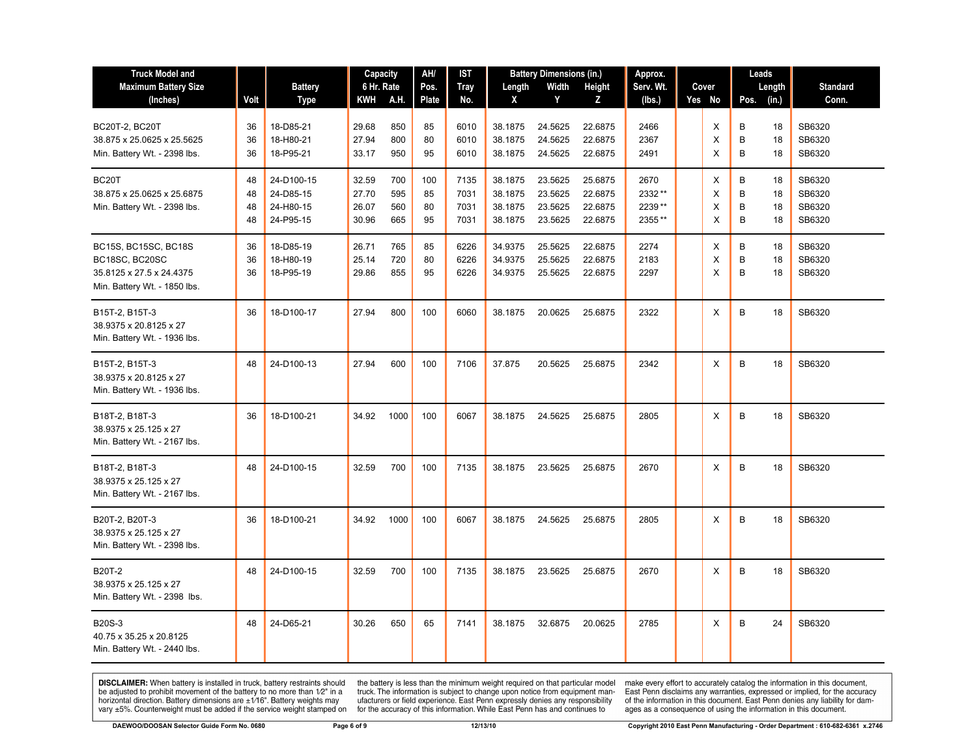| <b>Truck Model and</b>                                                   |      |                | AH/<br><b>Battery Dimensions (in.)</b><br>Capacity<br>IST |      | Approx. |             |         | Leads   |         |           |  |        |        |       |                 |
|--------------------------------------------------------------------------|------|----------------|-----------------------------------------------------------|------|---------|-------------|---------|---------|---------|-----------|--|--------|--------|-------|-----------------|
| <b>Maximum Battery Size</b>                                              |      | <b>Battery</b> | 6 Hr. Rate                                                |      | Pos.    | <b>Tray</b> | Length  | Width   | Height  | Serv. Wt. |  | Cover  | Length |       | <b>Standard</b> |
| (Inches)                                                                 | Volt | Type           | KWH                                                       | A.H. | Plate   | No.         | X       | Y       | Z       | (lbs.)    |  | Yes No | Pos.   | (in.) | Conn.           |
| <b>BC20T-2, BC20T</b>                                                    | 36   | 18-D85-21      | 29.68                                                     | 850  | 85      | 6010        | 38.1875 | 24.5625 | 22.6875 | 2466      |  | X      | B      | 18    | SB6320          |
| 38.875 x 25.0625 x 25.5625                                               | 36   | 18-H80-21      | 27.94                                                     | 800  | 80      | 6010        | 38.1875 | 24.5625 | 22.6875 | 2367      |  | X      | B      | 18    | SB6320          |
| Min. Battery Wt. - 2398 lbs.                                             | 36   | 18-P95-21      | 33.17                                                     | 950  | 95      | 6010        | 38.1875 | 24.5625 | 22.6875 | 2491      |  | X      | B      | 18    | SB6320          |
| BC <sub>20</sub> T                                                       | 48   | 24-D100-15     | 32.59                                                     | 700  | 100     | 7135        | 38.1875 | 23.5625 | 25.6875 | 2670      |  | X      | B      | 18    | SB6320          |
| 38.875 x 25.0625 x 25.6875                                               | 48   | 24-D85-15      | 27.70                                                     | 595  | 85      | 7031        | 38.1875 | 23.5625 | 22.6875 | 2332**    |  | X      | B      | 18    | SB6320          |
| Min. Battery Wt. - 2398 lbs.                                             | 48   | 24-H80-15      | 26.07                                                     | 560  | 80      | 7031        | 38.1875 | 23.5625 | 22.6875 | 2239**    |  | X      | B      | 18    | SB6320          |
|                                                                          | 48   | 24-P95-15      | 30.96                                                     | 665  | 95      | 7031        | 38.1875 | 23.5625 | 22.6875 | 2355**    |  | X      | B      | 18    | SB6320          |
| BC15S, BC15SC, BC18S                                                     | 36   | 18-D85-19      | 26.71                                                     | 765  | 85      | 6226        | 34.9375 | 25.5625 | 22.6875 | 2274      |  | X      | B      | 18    | SB6320          |
| BC18SC, BC20SC                                                           | 36   | 18-H80-19      | 25.14                                                     | 720  | 80      | 6226        | 34.9375 | 25.5625 | 22.6875 | 2183      |  | X      | B      | 18    | SB6320          |
| 35.8125 x 27.5 x 24.4375                                                 | 36   | 18-P95-19      | 29.86                                                     | 855  | 95      | 6226        | 34.9375 | 25.5625 | 22.6875 | 2297      |  | X      | B      | 18    | SB6320          |
| Min. Battery Wt. - 1850 lbs.                                             |      |                |                                                           |      |         |             |         |         |         |           |  |        |        |       |                 |
| B15T-2, B15T-3<br>38.9375 x 20.8125 x 27<br>Min. Battery Wt. - 1936 lbs. | 36   | 18-D100-17     | 27.94                                                     | 800  | 100     | 6060        | 38.1875 | 20.0625 | 25.6875 | 2322      |  | X      | B      | 18    | SB6320          |
|                                                                          |      |                |                                                           |      |         |             |         |         |         |           |  |        |        |       |                 |
| B15T-2, B15T-3<br>38.9375 x 20.8125 x 27<br>Min. Battery Wt. - 1936 lbs. | 48   | 24-D100-13     | 27.94                                                     | 600  | 100     | 7106        | 37.875  | 20.5625 | 25.6875 | 2342      |  | X      | B      | 18    | SB6320          |
| B18T-2, B18T-3<br>38.9375 x 25.125 x 27<br>Min. Battery Wt. - 2167 lbs.  | 36   | 18-D100-21     | 34.92                                                     | 1000 | 100     | 6067        | 38.1875 | 24.5625 | 25.6875 | 2805      |  | X      | B      | 18    | SB6320          |
| B18T-2, B18T-3<br>38.9375 x 25.125 x 27<br>Min. Battery Wt. - 2167 lbs.  | 48   | 24-D100-15     | 32.59                                                     | 700  | 100     | 7135        | 38.1875 | 23.5625 | 25.6875 | 2670      |  | X      | B      | 18    | SB6320          |
| B20T-2, B20T-3<br>38.9375 x 25.125 x 27<br>Min. Battery Wt. - 2398 lbs.  | 36   | 18-D100-21     | 34.92                                                     | 1000 | 100     | 6067        | 38.1875 | 24.5625 | 25.6875 | 2805      |  | X      | B      | 18    | SB6320          |
| <b>B20T-2</b><br>38.9375 x 25.125 x 27<br>Min. Battery Wt. - 2398 lbs.   | 48   | 24-D100-15     | 32.59                                                     | 700  | 100     | 7135        | 38.1875 | 23.5625 | 25.6875 | 2670      |  | X      | B      | 18    | SB6320          |
| <b>B20S-3</b><br>40.75 x 35.25 x 20.8125<br>Min. Battery Wt. - 2440 lbs. | 48   | 24-D65-21      | 30.26                                                     | 650  | 65      | 7141        | 38.1875 | 32.6875 | 20.0625 | 2785      |  | X      | B      | 24    | SB6320          |

the battery is less than the minimum weight required on that particular model<br>truck. The information is subject to change upon notice from equipment man-<br>ufacturers or field experience. East Penn expressly denies any respo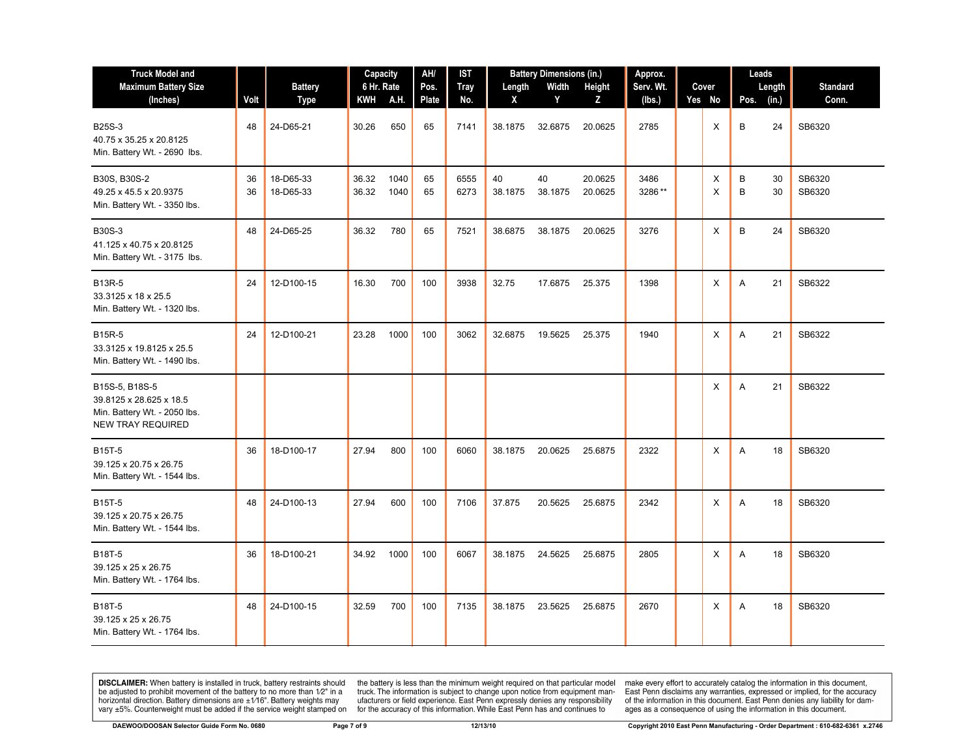| <b>Truck Model and</b><br><b>Maximum Battery Size</b>                                                 |          | <b>Battery</b>         | Capacity<br>6 Hr. Rate |              | AH/<br>Pos. | IST<br><b>Tray</b> | Length        | <b>Battery Dimensions (in.)</b><br>Width | Height             | Approx.<br>Serv. Wt.<br>Cover |  |          | Leads<br>Length    | <b>Standard</b>  |
|-------------------------------------------------------------------------------------------------------|----------|------------------------|------------------------|--------------|-------------|--------------------|---------------|------------------------------------------|--------------------|-------------------------------|--|----------|--------------------|------------------|
| (Inches)                                                                                              | Volt     | <b>Type</b>            | <b>KWH</b>             | A.H.         | Plate       | No.                | X             | Y                                        | Z                  | (lbs.)                        |  | Yes No   | Pos.<br>(in.)      | Conn.            |
| <b>B25S-3</b><br>40.75 x 35.25 x 20.8125<br>Min. Battery Wt. - 2690 lbs.                              | 48       | 24-D65-21              | 30.26                  | 650          | 65          | 7141               | 38.1875       | 32.6875                                  | 20.0625            | 2785                          |  | X        | В<br>24            | SB6320           |
| B30S, B30S-2<br>49.25 x 45.5 x 20.9375<br>Min. Battery Wt. - 3350 lbs.                                | 36<br>36 | 18-D65-33<br>18-D65-33 | 36.32<br>36.32         | 1040<br>1040 | 65<br>65    | 6555<br>6273       | 40<br>38.1875 | 40<br>38.1875                            | 20.0625<br>20.0625 | 3486<br>3286**                |  | Χ<br>X   | B<br>30<br>B<br>30 | SB6320<br>SB6320 |
| <b>B30S-3</b><br>41.125 x 40.75 x 20.8125<br>Min. Battery Wt. - 3175 lbs.                             | 48       | 24-D65-25              | 36.32                  | 780          | 65          | 7521               | 38.6875       | 38.1875                                  | 20.0625            | 3276                          |  | X        | B<br>24            | SB6320           |
| <b>B13R-5</b><br>33.3125 x 18 x 25.5<br>Min. Battery Wt. - 1320 lbs.                                  | 24       | 12-D100-15             | 16.30                  | 700          | 100         | 3938               | 32.75         | 17.6875                                  | 25.375             | 1398                          |  | Χ        | 21<br>A            | SB6322           |
| <b>B15R-5</b><br>33.3125 x 19.8125 x 25.5<br>Min. Battery Wt. - 1490 lbs.                             | 24       | 12-D100-21             | 23.28                  | 1000         | 100         | 3062               | 32.6875       | 19.5625                                  | 25.375             | 1940                          |  | X        | 21<br>A            | SB6322           |
| B15S-5, B18S-5<br>39.8125 x 28.625 x 18.5<br>Min. Battery Wt. - 2050 lbs.<br><b>NEW TRAY REQUIRED</b> |          |                        |                        |              |             |                    |               |                                          |                    |                               |  | Х        | 21<br>A            | SB6322           |
| <b>B15T-5</b><br>39.125 x 20.75 x 26.75<br>Min. Battery Wt. - 1544 lbs.                               | 36       | 18-D100-17             | 27.94                  | 800          | 100         | 6060               | 38.1875       | 20.0625                                  | 25.6875            | 2322                          |  | X        | 18<br>A            | SB6320           |
| <b>B15T-5</b><br>39.125 x 20.75 x 26.75<br>Min. Battery Wt. - 1544 lbs.                               | 48       | 24-D100-13             | 27.94                  | 600          | 100         | 7106               | 37.875        | 20.5625                                  | 25.6875            | 2342                          |  | X        | A<br>18            | SB6320           |
| B18T-5<br>39.125 x 25 x 26.75<br>Min. Battery Wt. - 1764 lbs.                                         | 36       | 18-D100-21             | 34.92                  | 1000         | 100         | 6067               | 38.1875       | 24.5625                                  | 25.6875            | 2805                          |  | $\times$ | A<br>18            | SB6320           |
| B18T-5<br>39.125 x 25 x 26.75<br>Min. Battery Wt. - 1764 lbs.                                         | 48       | 24-D100-15             | 32.59                  | 700          | 100         | 7135               | 38.1875       | 23.5625                                  | 25.6875            | 2670                          |  | X        | 18<br>Α            | SB6320           |

the battery is less than the minimum weight required on that particular model<br>truck. The information is subject to change upon notice from equipment man-<br>ufacturers or field experience. East Penn expressly denies any respo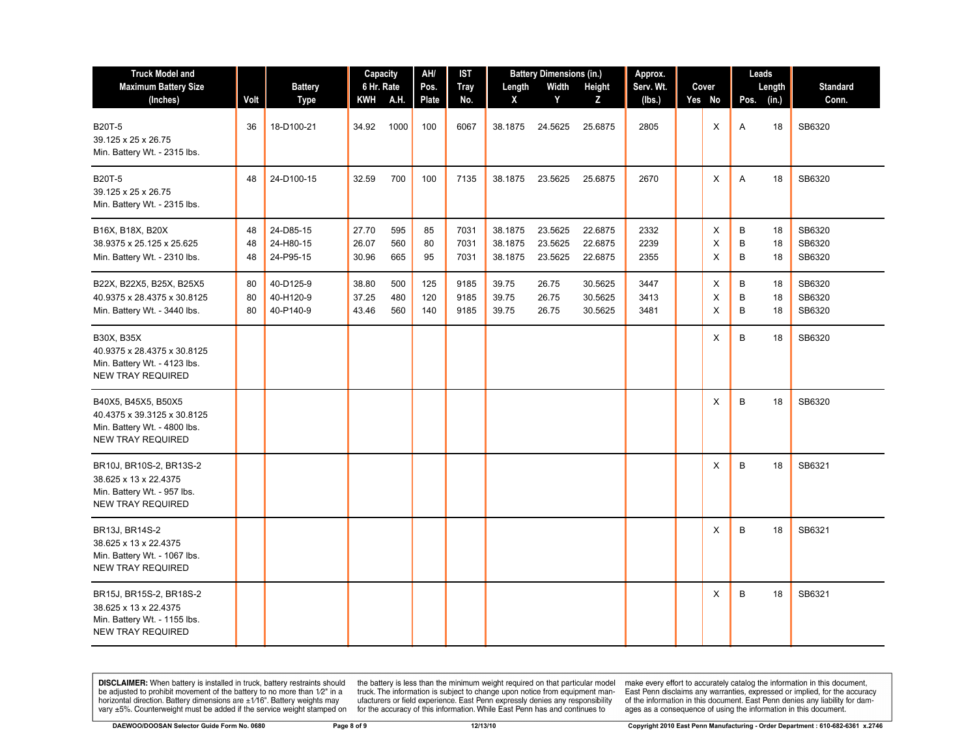| <b>Truck Model and</b><br><b>Maximum Battery Size</b>                                                          |                | <b>Battery</b>                      | Capacity<br>6 Hr. Rate  |                   | AH/<br>Pos.       | IST<br><b>Tray</b>   | Length                        | <b>Battery Dimensions (in.)</b><br>Width | Height                        | Approx.<br>Serv. Wt. | Cover       | Leads       | Length         | <b>Standard</b>            |
|----------------------------------------------------------------------------------------------------------------|----------------|-------------------------------------|-------------------------|-------------------|-------------------|----------------------|-------------------------------|------------------------------------------|-------------------------------|----------------------|-------------|-------------|----------------|----------------------------|
| (Inches)                                                                                                       | Volt           | <b>Type</b>                         | KWH A.H.                |                   | Plate             | No.                  | X                             | Y                                        | Z                             | (lbs.)               | Yes No      | Pos.        | (in.)          | Conn.                      |
| <b>B20T-5</b><br>39.125 x 25 x 26.75<br>Min. Battery Wt. - 2315 lbs.                                           | 36             | 18-D100-21                          | 34.92                   | 1000              | 100               | 6067                 | 38.1875                       | 24.5625                                  | 25.6875                       | 2805                 | X           | Α           | 18             | SB6320                     |
| B20T-5<br>39.125 x 25 x 26.75<br>Min. Battery Wt. - 2315 lbs.                                                  | 48             | 24-D100-15                          | 32.59                   | 700               | 100               | 7135                 | 38.1875                       | 23.5625                                  | 25.6875                       | 2670                 | Χ           | Α           | 18             | SB6320                     |
| B16X, B18X, B20X<br>38.9375 x 25.125 x 25.625<br>Min. Battery Wt. - 2310 lbs.                                  | 48<br>48<br>48 | 24-D85-15<br>24-H80-15<br>24-P95-15 | 27.70<br>26.07<br>30.96 | 595<br>560<br>665 | 85<br>80<br>95    | 7031<br>7031<br>7031 | 38.1875<br>38.1875<br>38.1875 | 23.5625<br>23.5625<br>23.5625            | 22.6875<br>22.6875<br>22.6875 | 2332<br>2239<br>2355 | X<br>X<br>X | B<br>B<br>В | 18<br>18<br>18 | SB6320<br>SB6320<br>SB6320 |
| B22X, B22X5, B25X, B25X5<br>40.9375 x 28.4375 x 30.8125<br>Min. Battery Wt. - 3440 lbs.                        | 80<br>80<br>80 | 40-D125-9<br>40-H120-9<br>40-P140-9 | 38.80<br>37.25<br>43.46 | 500<br>480<br>560 | 125<br>120<br>140 | 9185<br>9185<br>9185 | 39.75<br>39.75<br>39.75       | 26.75<br>26.75<br>26.75                  | 30.5625<br>30.5625<br>30.5625 | 3447<br>3413<br>3481 | Χ<br>X<br>X | В<br>B<br>B | 18<br>18<br>18 | SB6320<br>SB6320<br>SB6320 |
| <b>B30X, B35X</b><br>40.9375 x 28.4375 x 30.8125<br>Min. Battery Wt. - 4123 lbs.<br><b>NEW TRAY REQUIRED</b>   |                |                                     |                         |                   |                   |                      |                               |                                          |                               |                      | X           | B           | 18             | SB6320                     |
| B40X5, B45X5, B50X5<br>40.4375 x 39.3125 x 30.8125<br>Min. Battery Wt. - 4800 lbs.<br><b>NEW TRAY REQUIRED</b> |                |                                     |                         |                   |                   |                      |                               |                                          |                               |                      | X           | B           | 18             | SB6320                     |
| BR10J, BR10S-2, BR13S-2<br>38.625 x 13 x 22.4375<br>Min. Battery Wt. - 957 lbs.<br><b>NEW TRAY REQUIRED</b>    |                |                                     |                         |                   |                   |                      |                               |                                          |                               |                      | Χ           | B           | 18             | SB6321                     |
| BR13J, BR14S-2<br>38.625 x 13 x 22.4375<br>Min. Battery Wt. - 1067 lbs.<br><b>NEW TRAY REQUIRED</b>            |                |                                     |                         |                   |                   |                      |                               |                                          |                               |                      | X           | B           | 18             | SB6321                     |
| BR15J, BR15S-2, BR18S-2<br>38.625 x 13 x 22.4375<br>Min. Battery Wt. - 1155 lbs.<br><b>NEW TRAY REQUIRED</b>   |                |                                     |                         |                   |                   |                      |                               |                                          |                               |                      | X           | B           | 18             | SB6321                     |

the battery is less than the minimum weight required on that particular model<br>truck. The information is subject to change upon notice from equipment man-<br>ufacturers or field experience. East Penn expressly denies any respo